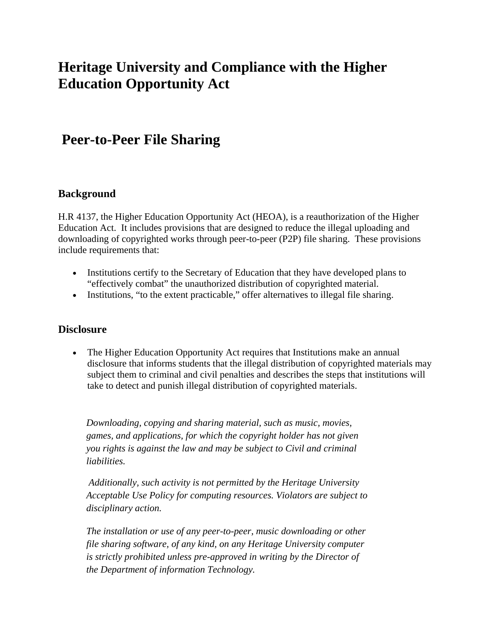# **Heritage University and Compliance with the Higher Education Opportunity Act**

## **Peer-to-Peer File Sharing**

#### **Background**

H.R 4137, the Higher Education Opportunity Act (HEOA), is a reauthorization of the Higher Education Act. It includes provisions that are designed to reduce the illegal uploading and downloading of copyrighted works through peer-to-peer (P2P) file sharing. These provisions include requirements that:

- Institutions certify to the Secretary of Education that they have developed plans to "effectively combat" the unauthorized distribution of copyrighted material.
- Institutions, "to the extent practicable," offer alternatives to illegal file sharing.

#### **Disclosure**

• The Higher Education Opportunity Act requires that Institutions make an annual disclosure that informs students that the illegal distribution of copyrighted materials may subject them to criminal and civil penalties and describes the steps that institutions will take to detect and punish illegal distribution of copyrighted materials.

*Downloading, copying and sharing material, such as music, movies, games, and applications, for which the copyright holder has not given you rights is against the law and may be subject to Civil and criminal liabilities.* 

 *Additionally, such activity is not permitted by the Heritage University Acceptable Use Policy for computing resources. Violators are subject to disciplinary action.* 

*The installation or use of any peer-to-peer, music downloading or other file sharing software, of any kind, on any Heritage University computer is strictly prohibited unless pre-approved in writing by the Director of the Department of information Technology.*